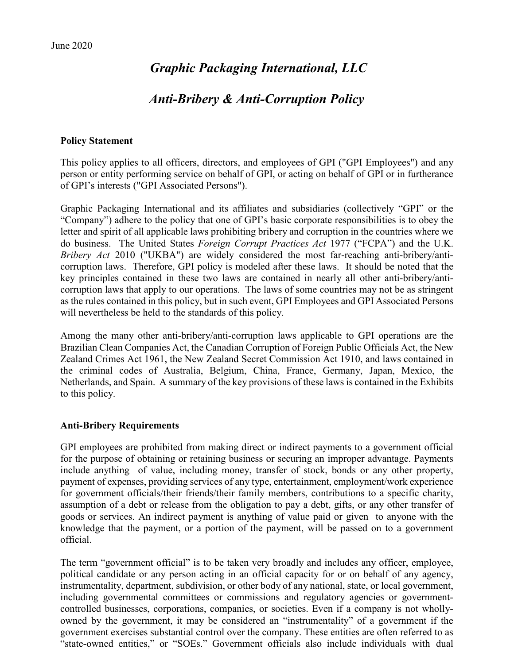# *Graphic Packaging International, LLC*

# *Anti-Bribery & Anti-Corruption Policy*

#### **Policy Statement**

This policy applies to all officers, directors, and employees of GPI ("GPI Employees") and any person or entity performing service on behalf of GPI, or acting on behalf of GPI or in furtherance of GPI's interests ("GPI Associated Persons").

Graphic Packaging International and its affiliates and subsidiaries (collectively "GPI" or the "Company") adhere to the policy that one of GPI's basic corporate responsibilities is to obey the letter and spirit of all applicable laws prohibiting bribery and corruption in the countries where we do business. The United States *Foreign Corrupt Practices Act* 1977 ("FCPA") and the U.K. *Bribery Act* 2010 ("UKBA") are widely considered the most far-reaching anti-bribery/anticorruption laws. Therefore, GPI policy is modeled after these laws. It should be noted that the key principles contained in these two laws are contained in nearly all other anti-bribery/anticorruption laws that apply to our operations. The laws of some countries may not be as stringent as the rules contained in this policy, but in such event, GPI Employees and GPI Associated Persons will nevertheless be held to the standards of this policy.

Among the many other anti-bribery/anti-corruption laws applicable to GPI operations are the Brazilian Clean Companies Act, the Canadian Corruption of Foreign Public Officials Act, the New Zealand Crimes Act 1961, the New Zealand Secret Commission Act 1910, and laws contained in the criminal codes of Australia, Belgium, China, France, Germany, Japan, Mexico, the Netherlands, and Spain. A summary of the key provisions of these laws is contained in the Exhibits to this policy.

#### **Anti-Bribery Requirements**

GPI employees are prohibited from making direct or indirect payments to a government official for the purpose of obtaining or retaining business or securing an improper advantage. Payments include anything of value, including money, transfer of stock, bonds or any other property, payment of expenses, providing services of any type, entertainment, employment/work experience for government officials/their friends/their family members, contributions to a specific charity, assumption of a debt or release from the obligation to pay a debt, gifts, or any other transfer of goods or services. An indirect payment is anything of value paid or given to anyone with the knowledge that the payment, or a portion of the payment, will be passed on to a government official.

The term "government official" is to be taken very broadly and includes any officer, employee, political candidate or any person acting in an official capacity for or on behalf of any agency, instrumentality, department, subdivision, or other body of any national, state, or local government, including governmental committees or commissions and regulatory agencies or governmentcontrolled businesses, corporations, companies, or societies. Even if a company is not whollyowned by the government, it may be considered an "instrumentality" of a government if the government exercises substantial control over the company. These entities are often referred to as "state-owned entities," or "SOEs." Government officials also include individuals with dual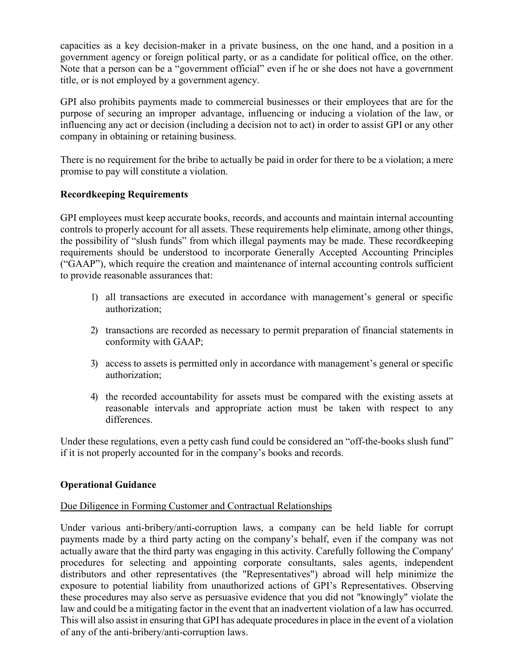capacities as a key decision-maker in a private business, on the one hand, and a position in a government agency or foreign political party, or as a candidate for political office, on the other. Note that a person can be a "government official" even if he or she does not have a government title, or is not employed by a government agency.

GPI also prohibits payments made to commercial businesses or their employees that are for the purpose of securing an improper advantage, influencing or inducing a violation of the law, or influencing any act or decision (including a decision not to act) in order to assist GPI or any other company in obtaining or retaining business.

There is no requirement for the bribe to actually be paid in order for there to be a violation; a mere promise to pay will constitute a violation.

# **Recordkeeping Requirements**

GPI employees must keep accurate books, records, and accounts and maintain internal accounting controls to properly account for all assets. These requirements help eliminate, among other things, the possibility of "slush funds" from which illegal payments may be made. These recordkeeping requirements should be understood to incorporate Generally Accepted Accounting Principles ("GAAP"), which require the creation and maintenance of internal accounting controls sufficient to provide reasonable assurances that:

- 1) all transactions are executed in accordance with management's general or specific authorization;
- 2) transactions are recorded as necessary to permit preparation of financial statements in conformity with GAAP;
- 3) access to assets is permitted only in accordance with management's general or specific authorization;
- 4) the recorded accountability for assets must be compared with the existing assets at reasonable intervals and appropriate action must be taken with respect to any differences.

Under these regulations, even a petty cash fund could be considered an "off-the-books slush fund" if it is not properly accounted for in the company's books and records.

# **Operational Guidance**

# Due Diligence in Forming Customer and Contractual Relationships

Under various anti-bribery/anti-corruption laws, a company can be held liable for corrupt payments made by a third party acting on the company's behalf, even if the company was not actually aware that the third party was engaging in this activity. Carefully following the Company' procedures for selecting and appointing corporate consultants, sales agents, independent distributors and other representatives (the "Representatives") abroad will help minimize the exposure to potential liability from unauthorized actions of GPI's Representatives. Observing these procedures may also serve as persuasive evidence that you did not "knowingly" violate the law and could be a mitigating factor in the event that an inadvertent violation of a law has occurred. This will also assist in ensuring that GPI has adequate procedures in place in the event of a violation of any of the anti-bribery/anti-corruption laws.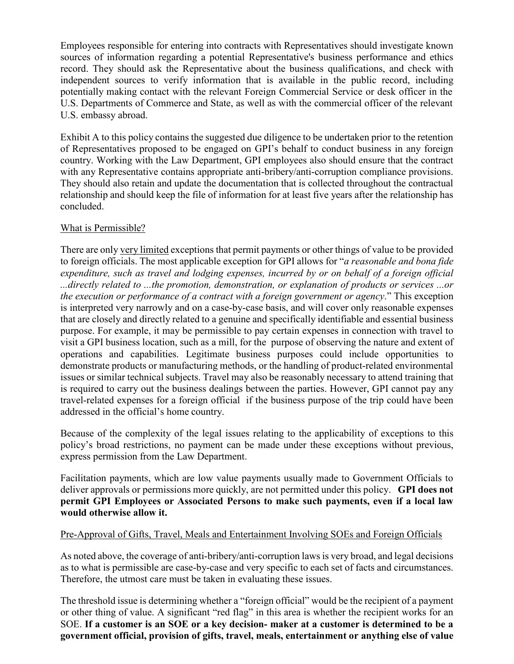Employees responsible for entering into contracts with Representatives should investigate known sources of information regarding a potential Representative's business performance and ethics record. They should ask the Representative about the business qualifications, and check with independent sources to verify information that is available in the public record, including potentially making contact with the relevant Foreign Commercial Service or desk officer in the U.S. Departments of Commerce and State, as well as with the commercial officer of the relevant U.S. embassy abroad.

Exhibit A to this policy contains the suggested due diligence to be undertaken prior to the retention of Representatives proposed to be engaged on GPI's behalf to conduct business in any foreign country. Working with the Law Department, GPI employees also should ensure that the contract with any Representative contains appropriate anti-bribery/anti-corruption compliance provisions. They should also retain and update the documentation that is collected throughout the contractual relationship and should keep the file of information for at least five years after the relationship has concluded.

# What is Permissible?

There are only very limited exceptions that permit payments or other things of value to be provided to foreign officials. The most applicable exception for GPI allows for "*a reasonable and bona fide expenditure, such as travel and lodging expenses, incurred by or on behalf of a foreign official ...directly related to ...the promotion, demonstration, or explanation of products or services ...or the execution or performance of a contract with a foreign government or agency*." This exception is interpreted very narrowly and on a case-by-case basis, and will cover only reasonable expenses that are closely and directly related to a genuine and specifically identifiable and essential business purpose. For example, it may be permissible to pay certain expenses in connection with travel to visit a GPI business location, such as a mill, for the purpose of observing the nature and extent of operations and capabilities. Legitimate business purposes could include opportunities to demonstrate products or manufacturing methods, or the handling of product-related environmental issues or similar technical subjects. Travel may also be reasonably necessary to attend training that is required to carry out the business dealings between the parties. However, GPI cannot pay any travel-related expenses for a foreign official if the business purpose of the trip could have been addressed in the official's home country.

Because of the complexity of the legal issues relating to the applicability of exceptions to this policy's broad restrictions, no payment can be made under these exceptions without previous, express permission from the Law Department.

Facilitation payments, which are low value payments usually made to Government Officials to deliver approvals or permissions more quickly, are not permitted under this policy. **GPI does not permit GPI Employees or Associated Persons to make such payments, even if a local law would otherwise allow it.**

# Pre-Approval of Gifts, Travel, Meals and Entertainment Involving SOEs and Foreign Officials

As noted above, the coverage of anti-bribery/anti-corruption laws is very broad, and legal decisions as to what is permissible are case-by-case and very specific to each set of facts and circumstances. Therefore, the utmost care must be taken in evaluating these issues.

The threshold issue is determining whether a "foreign official" would be the recipient of a payment or other thing of value. A significant "red flag" in this area is whether the recipient works for an SOE. **If a customer is an SOE or a key decision- maker at a customer is determined to be a government official, provision of gifts, travel, meals, entertainment or anything else of value**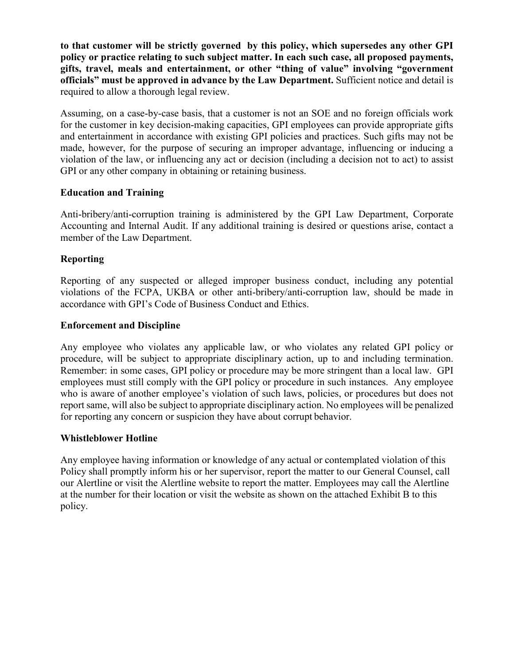**to that customer will be strictly governed by this policy, which supersedes any other GPI policy or practice relating to such subject matter. In each such case, all proposed payments, gifts, travel, meals and entertainment, or other "thing of value" involving "government officials" must be approved in advance by the Law Department.** Sufficient notice and detail is required to allow a thorough legal review.

Assuming, on a case-by-case basis, that a customer is not an SOE and no foreign officials work for the customer in key decision-making capacities, GPI employees can provide appropriate gifts and entertainment in accordance with existing GPI policies and practices. Such gifts may not be made, however, for the purpose of securing an improper advantage, influencing or inducing a violation of the law, or influencing any act or decision (including a decision not to act) to assist GPI or any other company in obtaining or retaining business.

# **Education and Training**

Anti-bribery/anti-corruption training is administered by the GPI Law Department, Corporate Accounting and Internal Audit. If any additional training is desired or questions arise, contact a member of the Law Department.

# **Reporting**

Reporting of any suspected or alleged improper business conduct, including any potential violations of the FCPA, UKBA or other anti-bribery/anti-corruption law, should be made in accordance with GPI's Code of Business Conduct and Ethics.

# **Enforcement and Discipline**

Any employee who violates any applicable law, or who violates any related GPI policy or procedure, will be subject to appropriate disciplinary action, up to and including termination. Remember: in some cases, GPI policy or procedure may be more stringent than a local law. GPI employees must still comply with the GPI policy or procedure in such instances. Any employee who is aware of another employee's violation of such laws, policies, or procedures but does not report same, will also be subject to appropriate disciplinary action. No employees will be penalized for reporting any concern or suspicion they have about corrupt behavior.

# **Whistleblower Hotline**

Any employee having information or knowledge of any actual or contemplated violation of this Policy shall promptly inform his or her supervisor, report the matter to our General Counsel, call our Alertline or visit the Alertline website to report the matter. Employees may call the Alertline at the number for their location or visit the website as shown on the attached Exhibit B to this policy.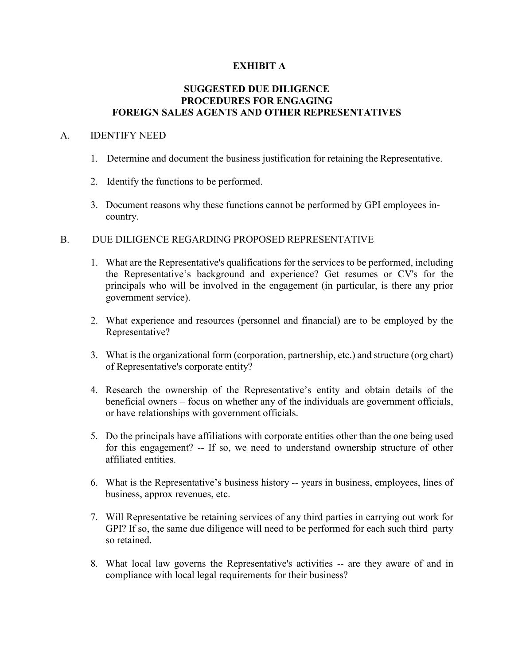### **EXHIBIT A**

### **SUGGESTED DUE DILIGENCE PROCEDURES FOR ENGAGING FOREIGN SALES AGENTS AND OTHER REPRESENTATIVES**

#### A. IDENTIFY NEED

- 1. Determine and document the business justification for retaining the Representative.
- 2. Identify the functions to be performed.
- 3. Document reasons why these functions cannot be performed by GPI employees incountry.

### B. DUE DILIGENCE REGARDING PROPOSED REPRESENTATIVE

- 1. What are the Representative's qualifications for the services to be performed, including the Representative's background and experience? Get resumes or CV's for the principals who will be involved in the engagement (in particular, is there any prior government service).
- 2. What experience and resources (personnel and financial) are to be employed by the Representative?
- 3. What is the organizational form (corporation, partnership, etc.) and structure (org chart) of Representative's corporate entity?
- 4. Research the ownership of the Representative's entity and obtain details of the beneficial owners – focus on whether any of the individuals are government officials, or have relationships with government officials.
- 5. Do the principals have affiliations with corporate entities other than the one being used for this engagement? -- If so, we need to understand ownership structure of other affiliated entities.
- 6. What is the Representative's business history -- years in business, employees, lines of business, approx revenues, etc.
- 7. Will Representative be retaining services of any third parties in carrying out work for GPI? If so, the same due diligence will need to be performed for each such third party so retained.
- 8. What local law governs the Representative's activities -- are they aware of and in compliance with local legal requirements for their business?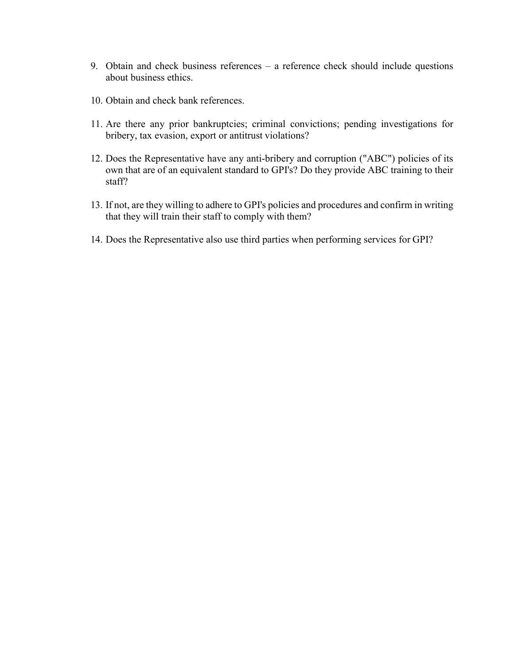- 9. Obtain and check business references a reference check should include questions about business ethics.
- 10. Obtain and check bank references.
- 11. Are there any prior bankruptcies; criminal convictions; pending investigations for bribery, tax evasion, export or antitrust violations?
- 12. Does the Representative have any anti-bribery and corruption ("ABC") policies of its own that are of an equivalent standard to GPI's? Do they provide ABC training to their staff?
- 13. If not, are they willing to adhere to GPI's policies and procedures and confirm in writing that they will train their staff to comply with them?
- 14. Does the Representative also use third parties when performing services for GPI?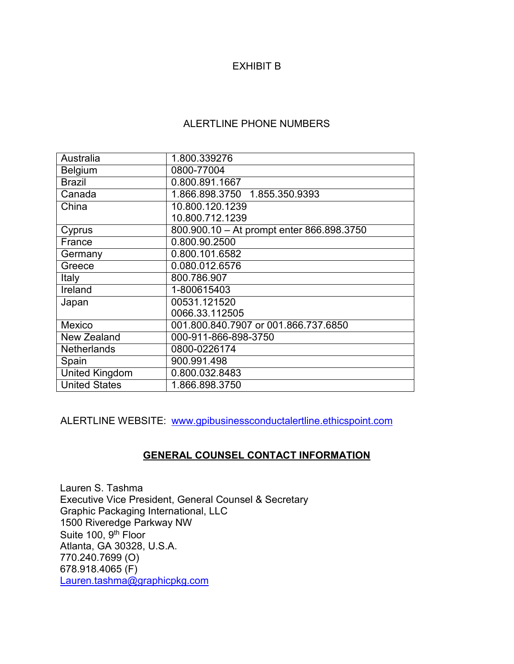# EXHIBIT B

# ALERTLINE PHONE NUMBERS

| Australia             | 1.800.339276                              |
|-----------------------|-------------------------------------------|
| <b>Belgium</b>        | 0800-77004                                |
| <b>Brazil</b>         | 0.800.891.1667                            |
| Canada                | 1.866.898.3750 1.855.350.9393             |
| China                 | 10.800.120.1239                           |
|                       | 10.800.712.1239                           |
| Cyprus                | 800.900.10 - At prompt enter 866.898.3750 |
| France                | 0.800.90.2500                             |
| Germany               | 0.800.101.6582                            |
| Greece                | 0.080.012.6576                            |
| Italy                 | 800.786.907                               |
| Ireland               | 1-800615403                               |
| Japan                 | 00531.121520                              |
|                       | 0066.33.112505                            |
| Mexico                | 001.800.840.7907 or 001.866.737.6850      |
| New Zealand           | 000-911-866-898-3750                      |
| <b>Netherlands</b>    | 0800-0226174                              |
| Spain                 | 900.991.498                               |
| <b>United Kingdom</b> | 0.800.032.8483                            |
| <b>United States</b>  | 1.866.898.3750                            |

ALERTLINE WEBSITE: [www.gpibusinessconductalertline.ethicspoint.com](http://www.gpibusinessconductalertline.ethicspoint.com/)

# **GENERAL COUNSEL CONTACT INFORMATION**

Lauren S. Tashma Executive Vice President, General Counsel & Secretary Graphic Packaging International, LLC 1500 Riveredge Parkway NW Suite 100, 9<sup>th</sup> Floor Atlanta, GA 30328, U.S.A. 770.240.7699 (O) 678.918.4065 (F) [Lauren.tashma@graphicpkg.com](mailto:Lauren.tashma@graphicpkg.com)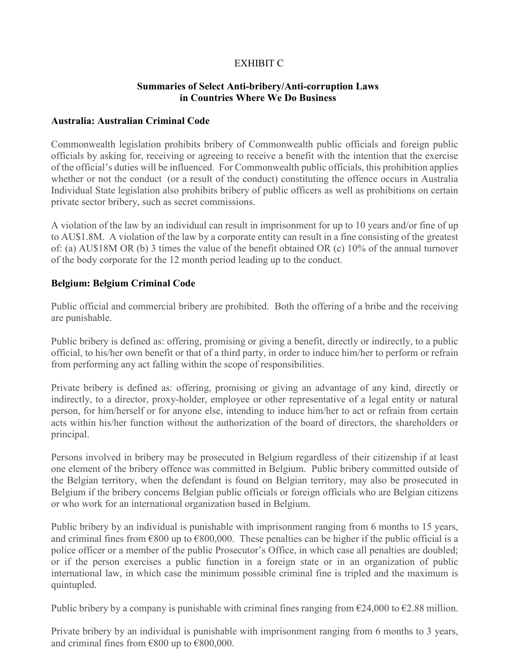# EXHIBIT C

### **Summaries of Select Anti-bribery/Anti-corruption Laws in Countries Where We Do Business**

#### **Australia: Australian Criminal Code**

Commonwealth legislation prohibits bribery of Commonwealth public officials and foreign public officials by asking for, receiving or agreeing to receive a benefit with the intention that the exercise of the official's duties will be influenced. For Commonwealth public officials, this prohibition applies whether or not the conduct (or a result of the conduct) constituting the offence occurs in Australia Individual State legislation also prohibits bribery of public officers as well as prohibitions on certain private sector bribery, such as secret commissions.

A violation of the law by an individual can result in imprisonment for up to 10 years and/or fine of up to AU\$1.8M. A violation of the law by a corporate entity can result in a fine consisting of the greatest of: (a) AU\$18M OR (b) 3 times the value of the benefit obtained OR (c) 10% of the annual turnover of the body corporate for the 12 month period leading up to the conduct.

### **Belgium: Belgium Criminal Code**

Public official and commercial bribery are prohibited. Both the offering of a bribe and the receiving are punishable.

Public bribery is defined as: offering, promising or giving a benefit, directly or indirectly, to a public official, to his/her own benefit or that of a third party, in order to induce him/her to perform or refrain from performing any act falling within the scope of responsibilities.

Private bribery is defined as: offering, promising or giving an advantage of any kind, directly or indirectly, to a director, proxy-holder, employee or other representative of a legal entity or natural person, for him/herself or for anyone else, intending to induce him/her to act or refrain from certain acts within his/her function without the authorization of the board of directors, the shareholders or principal.

Persons involved in bribery may be prosecuted in Belgium regardless of their citizenship if at least one element of the bribery offence was committed in Belgium. Public bribery committed outside of the Belgian territory, when the defendant is found on Belgian territory, may also be prosecuted in Belgium if the bribery concerns Belgian public officials or foreign officials who are Belgian citizens or who work for an international organization based in Belgium.

Public bribery by an individual is punishable with imprisonment ranging from 6 months to 15 years, and criminal fines from  $\epsilon$ 800 up to  $\epsilon$ 800,000. These penalties can be higher if the public official is a police officer or a member of the public Prosecutor's Office, in which case all penalties are doubled; or if the person exercises a public function in a foreign state or in an organization of public international law, in which case the minimum possible criminal fine is tripled and the maximum is quintupled.

Public bribery by a company is punishable with criminal fines ranging from  $\epsilon$ 24,000 to  $\epsilon$ 2.88 million.

Private bribery by an individual is punishable with imprisonment ranging from 6 months to 3 years, and criminal fines from €800 up to €800,000.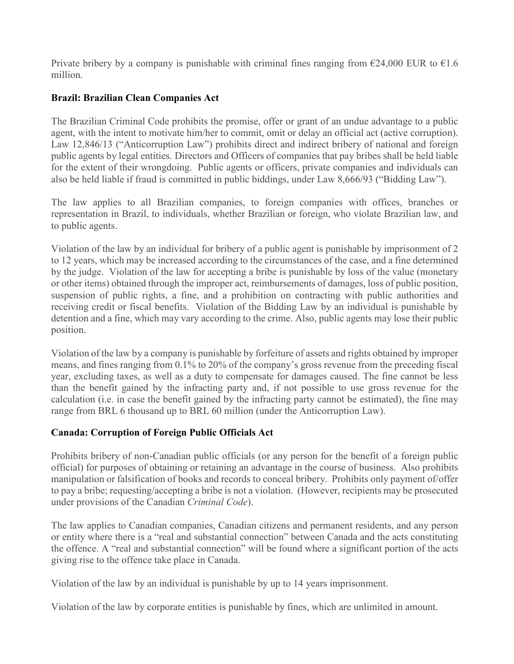Private bribery by a company is punishable with criminal fines ranging from  $\epsilon$ 24,000 EUR to  $\epsilon$ 1.6 million.

# **Brazil: Brazilian Clean Companies Act**

The Brazilian Criminal Code prohibits the promise, offer or grant of an undue advantage to a public agent, with the intent to motivate him/her to commit, omit or delay an official act (active corruption). Law 12,846/13 ("Anticorruption Law") prohibits direct and indirect bribery of national and foreign public agents by legal entities. Directors and Officers of companies that pay bribes shall be held liable for the extent of their wrongdoing. Public agents or officers, private companies and individuals can also be held liable if fraud is committed in public biddings, under Law 8,666/93 ("Bidding Law").

The law applies to all Brazilian companies, to foreign companies with offices, branches or representation in Brazil, to individuals, whether Brazilian or foreign, who violate Brazilian law, and to public agents.

Violation of the law by an individual for bribery of a public agent is punishable by imprisonment of 2 to 12 years, which may be increased according to the circumstances of the case, and a fine determined by the judge. Violation of the law for accepting a bribe is punishable by loss of the value (monetary or other items) obtained through the improper act, reimbursements of damages, loss of public position, suspension of public rights, a fine, and a prohibition on contracting with public authorities and receiving credit or fiscal benefits. Violation of the Bidding Law by an individual is punishable by detention and a fine, which may vary according to the crime. Also, public agents may lose their public position.

Violation of the law by a company is punishable by forfeiture of assets and rights obtained by improper means, and fines ranging from 0.1% to 20% of the company's gross revenue from the preceding fiscal year, excluding taxes, as well as a duty to compensate for damages caused. The fine cannot be less than the benefit gained by the infracting party and, if not possible to use gross revenue for the calculation (i.e. in case the benefit gained by the infracting party cannot be estimated), the fine may range from BRL 6 thousand up to BRL 60 million (under the Anticorruption Law).

# **Canada: Corruption of Foreign Public Officials Act**

Prohibits bribery of non-Canadian public officials (or any person for the benefit of a foreign public official) for purposes of obtaining or retaining an advantage in the course of business. Also prohibits manipulation or falsification of books and records to conceal bribery. Prohibits only payment of/offer to pay a bribe; requesting/accepting a bribe is not a violation. (However, recipients may be prosecuted under provisions of the Canadian *Criminal Code*).

The law applies to Canadian companies, Canadian citizens and permanent residents, and any person or entity where there is a "real and substantial connection" between Canada and the acts constituting the offence. A "real and substantial connection" will be found where a significant portion of the acts giving rise to the offence take place in Canada.

Violation of the law by an individual is punishable by up to 14 years imprisonment.

Violation of the law by corporate entities is punishable by fines, which are unlimited in amount.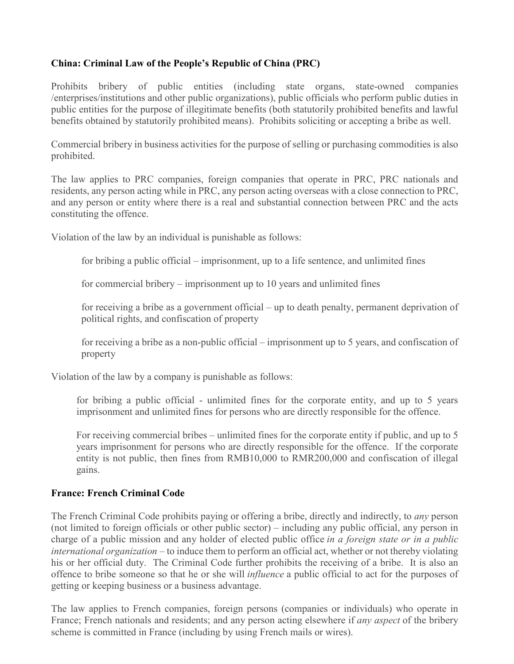# **China: Criminal Law of the People's Republic of China (PRC)**

Prohibits bribery of public entities (including state organs, state-owned companies /enterprises/institutions and other public organizations), public officials who perform public duties in public entities for the purpose of illegitimate benefits (both statutorily prohibited benefits and lawful benefits obtained by statutorily prohibited means). Prohibits soliciting or accepting a bribe as well.

Commercial bribery in business activities for the purpose of selling or purchasing commodities is also prohibited.

The law applies to PRC companies, foreign companies that operate in PRC, PRC nationals and residents, any person acting while in PRC, any person acting overseas with a close connection to PRC, and any person or entity where there is a real and substantial connection between PRC and the acts constituting the offence.

Violation of the law by an individual is punishable as follows:

for bribing a public official – imprisonment, up to a life sentence, and unlimited fines

for commercial bribery – imprisonment up to 10 years and unlimited fines

for receiving a bribe as a government official – up to death penalty, permanent deprivation of political rights, and confiscation of property

for receiving a bribe as a non-public official – imprisonment up to 5 years, and confiscation of property

Violation of the law by a company is punishable as follows:

for bribing a public official - unlimited fines for the corporate entity, and up to 5 years imprisonment and unlimited fines for persons who are directly responsible for the offence.

For receiving commercial bribes – unlimited fines for the corporate entity if public, and up to 5 years imprisonment for persons who are directly responsible for the offence. If the corporate entity is not public, then fines from RMB10,000 to RMR200,000 and confiscation of illegal gains.

# **France: French Criminal Code**

The French Criminal Code prohibits paying or offering a bribe, directly and indirectly, to *any* person (not limited to foreign officials or other public sector) – including any public official, any person in charge of a public mission and any holder of elected public office *in a foreign state or in a public international organization* – to induce them to perform an official act, whether or not thereby violating his or her official duty. The Criminal Code further prohibits the receiving of a bribe. It is also an offence to bribe someone so that he or she will *influence* a public official to act for the purposes of getting or keeping business or a business advantage.

The law applies to French companies, foreign persons (companies or individuals) who operate in France; French nationals and residents; and any person acting elsewhere if *any aspect* of the bribery scheme is committed in France (including by using French mails or wires).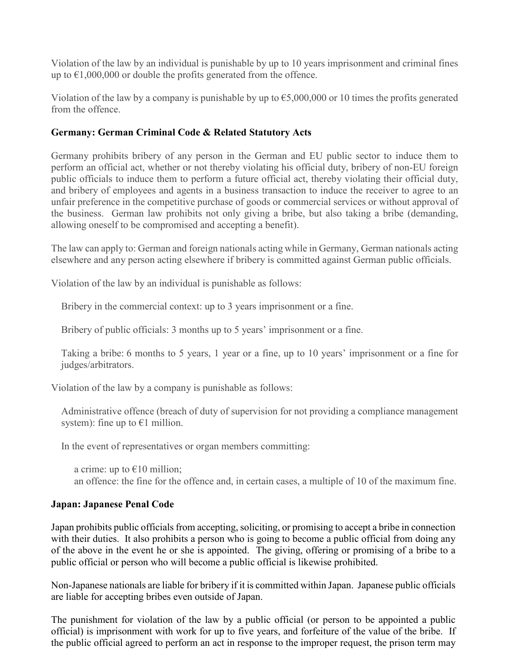Violation of the law by an individual is punishable by up to 10 years imprisonment and criminal fines up to  $\epsilon$ 1,000,000 or double the profits generated from the offence.

Violation of the law by a company is punishable by up to  $\epsilon$ 5,000,000 or 10 times the profits generated from the offence.

### **Germany: German Criminal Code & Related Statutory Acts**

Germany prohibits bribery of any person in the German and EU public sector to induce them to perform an official act, whether or not thereby violating his official duty, bribery of non-EU foreign public officials to induce them to perform a future official act, thereby violating their official duty, and bribery of employees and agents in a business transaction to induce the receiver to agree to an unfair preference in the competitive purchase of goods or commercial services or without approval of the business. German law prohibits not only giving a bribe, but also taking a bribe (demanding, allowing oneself to be compromised and accepting a benefit).

The law can apply to: German and foreign nationals acting while in Germany, German nationals acting elsewhere and any person acting elsewhere if bribery is committed against German public officials.

Violation of the law by an individual is punishable as follows:

Bribery in the commercial context: up to 3 years imprisonment or a fine.

Bribery of public officials: 3 months up to 5 years' imprisonment or a fine.

Taking a bribe: 6 months to 5 years, 1 year or a fine, up to 10 years' imprisonment or a fine for judges/arbitrators.

Violation of the law by a company is punishable as follows:

Administrative offence (breach of duty of supervision for not providing a compliance management system): fine up to  $\epsilon$ 1 million.

In the event of representatives or organ members committing:

a crime: up to  $\epsilon$ 10 million; an offence: the fine for the offence and, in certain cases, a multiple of 10 of the maximum fine.

### **Japan: Japanese Penal Code**

Japan prohibits public officials from accepting, soliciting, or promising to accept a bribe in connection with their duties. It also prohibits a person who is going to become a public official from doing any of the above in the event he or she is appointed. The giving, offering or promising of a bribe to a public official or person who will become a public official is likewise prohibited.

Non-Japanese nationals are liable for bribery if it is committed within Japan. Japanese public officials are liable for accepting bribes even outside of Japan.

The punishment for violation of the law by a public official (or person to be appointed a public official) is imprisonment with work for up to five years, and forfeiture of the value of the bribe. If the public official agreed to perform an act in response to the improper request, the prison term may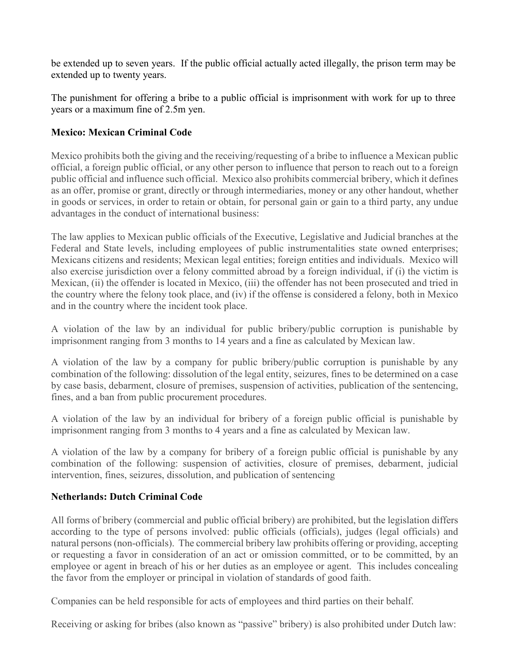be extended up to seven years. If the public official actually acted illegally, the prison term may be extended up to twenty years.

The punishment for offering a bribe to a public official is imprisonment with work for up to three years or a maximum fine of 2.5m yen.

### **Mexico: Mexican Criminal Code**

Mexico prohibits both the giving and the receiving/requesting of a bribe to influence a Mexican public official, a foreign public official, or any other person to influence that person to reach out to a foreign public official and influence such official. Mexico also prohibits commercial bribery, which it defines as an offer, promise or grant, directly or through intermediaries, money or any other handout, whether in goods or services, in order to retain or obtain, for personal gain or gain to a third party, any undue advantages in the conduct of international business:

The law applies to Mexican public officials of the Executive, Legislative and Judicial branches at the Federal and State levels, including employees of public instrumentalities state owned enterprises; Mexicans citizens and residents; Mexican legal entities; foreign entities and individuals. Mexico will also exercise jurisdiction over a felony committed abroad by a foreign individual, if (i) the victim is Mexican, (ii) the offender is located in Mexico, (iii) the offender has not been prosecuted and tried in the country where the felony took place, and (iv) if the offense is considered a felony, both in Mexico and in the country where the incident took place.

A violation of the law by an individual for public bribery/public corruption is punishable by imprisonment ranging from 3 months to 14 years and a fine as calculated by Mexican law.

A violation of the law by a company for public bribery/public corruption is punishable by any combination of the following: dissolution of the legal entity, seizures, fines to be determined on a case by case basis, debarment, closure of premises, suspension of activities, publication of the sentencing, fines, and a ban from public procurement procedures.

A violation of the law by an individual for bribery of a foreign public official is punishable by imprisonment ranging from 3 months to 4 years and a fine as calculated by Mexican law.

A violation of the law by a company for bribery of a foreign public official is punishable by any combination of the following: suspension of activities, closure of premises, debarment, judicial intervention, fines, seizures, dissolution, and publication of sentencing

### **Netherlands: Dutch Criminal Code**

All forms of bribery (commercial and public official bribery) are prohibited, but the legislation differs according to the type of persons involved: public officials (officials), judges (legal officials) and natural persons (non-officials). The commercial bribery law prohibits offering or providing, accepting or requesting a favor in consideration of an act or omission committed, or to be committed, by an employee or agent in breach of his or her duties as an employee or agent. This includes concealing the favor from the employer or principal in violation of standards of good faith.

Companies can be held responsible for acts of employees and third parties on their behalf.

Receiving or asking for bribes (also known as "passive" bribery) is also prohibited under Dutch law: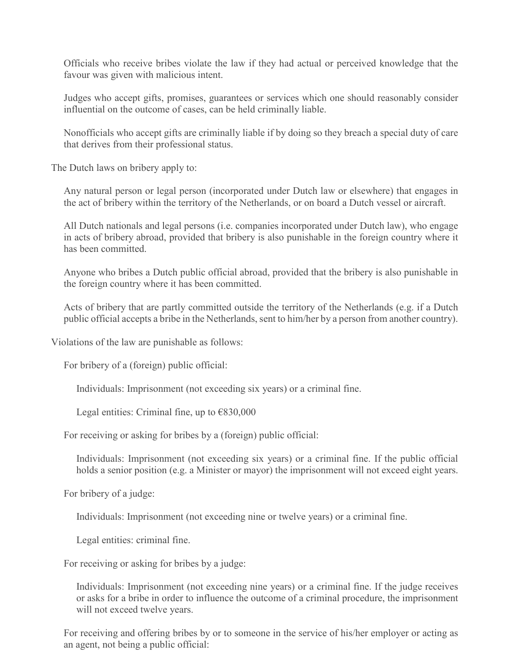Officials who receive bribes violate the law if they had actual or perceived knowledge that the favour was given with malicious intent.

Judges who accept gifts, promises, guarantees or services which one should reasonably consider influential on the outcome of cases, can be held criminally liable.

Nonofficials who accept gifts are criminally liable if by doing so they breach a special duty of care that derives from their professional status.

The Dutch laws on bribery apply to:

Any natural person or legal person (incorporated under Dutch law or elsewhere) that engages in the act of bribery within the territory of the Netherlands, or on board a Dutch vessel or aircraft.

All Dutch nationals and legal persons (i.e. companies incorporated under Dutch law), who engage in acts of bribery abroad, provided that bribery is also punishable in the foreign country where it has been committed.

Anyone who bribes a Dutch public official abroad, provided that the bribery is also punishable in the foreign country where it has been committed.

Acts of bribery that are partly committed outside the territory of the Netherlands (e.g. if a Dutch public official accepts a bribe in the Netherlands, sent to him/her by a person from another country).

Violations of the law are punishable as follows:

For bribery of a (foreign) public official:

Individuals: Imprisonment (not exceeding six years) or a criminal fine.

Legal entities: Criminal fine, up to  $\epsilon$ 830,000

For receiving or asking for bribes by a (foreign) public official:

Individuals: Imprisonment (not exceeding six years) or a criminal fine. If the public official holds a senior position (e.g. a Minister or mayor) the imprisonment will not exceed eight years.

For bribery of a judge:

Individuals: Imprisonment (not exceeding nine or twelve years) or a criminal fine.

Legal entities: criminal fine.

For receiving or asking for bribes by a judge:

Individuals: Imprisonment (not exceeding nine years) or a criminal fine. If the judge receives or asks for a bribe in order to influence the outcome of a criminal procedure, the imprisonment will not exceed twelve years.

For receiving and offering bribes by or to someone in the service of his/her employer or acting as an agent, not being a public official: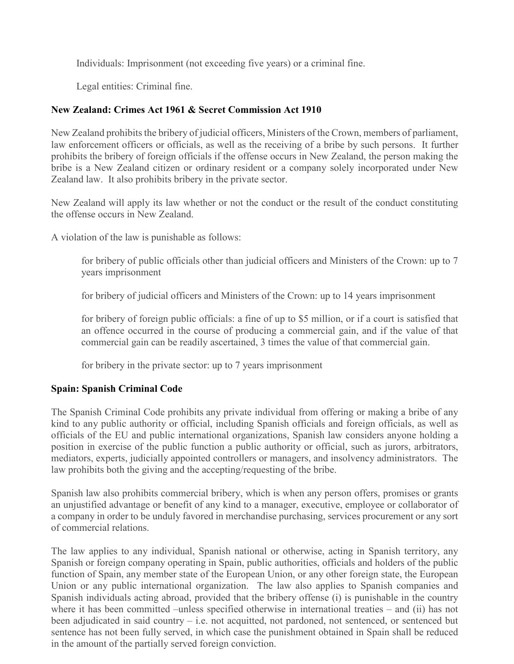Individuals: Imprisonment (not exceeding five years) or a criminal fine.

Legal entities: Criminal fine.

# **New Zealand: Crimes Act 1961 & Secret Commission Act 1910**

New Zealand prohibits the bribery of judicial officers, Ministers of the Crown, members of parliament, law enforcement officers or officials, as well as the receiving of a bribe by such persons. It further prohibits the bribery of foreign officials if the offense occurs in New Zealand, the person making the bribe is a New Zealand citizen or ordinary resident or a company solely incorporated under New Zealand law. It also prohibits bribery in the private sector.

New Zealand will apply its law whether or not the conduct or the result of the conduct constituting the offense occurs in New Zealand.

A violation of the law is punishable as follows:

for bribery of public officials other than judicial officers and Ministers of the Crown: up to 7 years imprisonment

for bribery of judicial officers and Ministers of the Crown: up to 14 years imprisonment

for bribery of foreign public officials: a fine of up to \$5 million, or if a court is satisfied that an offence occurred in the course of producing a commercial gain, and if the value of that commercial gain can be readily ascertained, 3 times the value of that commercial gain.

for bribery in the private sector: up to 7 years imprisonment

# **Spain: Spanish Criminal Code**

The Spanish Criminal Code prohibits any private individual from offering or making a bribe of any kind to any public authority or official, including Spanish officials and foreign officials, as well as officials of the EU and public international organizations, Spanish law considers anyone holding a position in exercise of the public function a public authority or official, such as jurors, arbitrators, mediators, experts, judicially appointed controllers or managers, and insolvency administrators. The law prohibits both the giving and the accepting/requesting of the bribe.

Spanish law also prohibits commercial bribery, which is when any person offers, promises or grants an unjustified advantage or benefit of any kind to a manager, executive, employee or collaborator of a company in order to be unduly favored in merchandise purchasing, services procurement or any sort of commercial relations.

The law applies to any individual, Spanish national or otherwise, acting in Spanish territory, any Spanish or foreign company operating in Spain, public authorities, officials and holders of the public function of Spain, any member state of the European Union, or any other foreign state, the European Union or any public international organization. The law also applies to Spanish companies and Spanish individuals acting abroad, provided that the bribery offense (i) is punishable in the country where it has been committed –unless specified otherwise in international treaties – and (ii) has not been adjudicated in said country – i.e. not acquitted, not pardoned, not sentenced, or sentenced but sentence has not been fully served, in which case the punishment obtained in Spain shall be reduced in the amount of the partially served foreign conviction.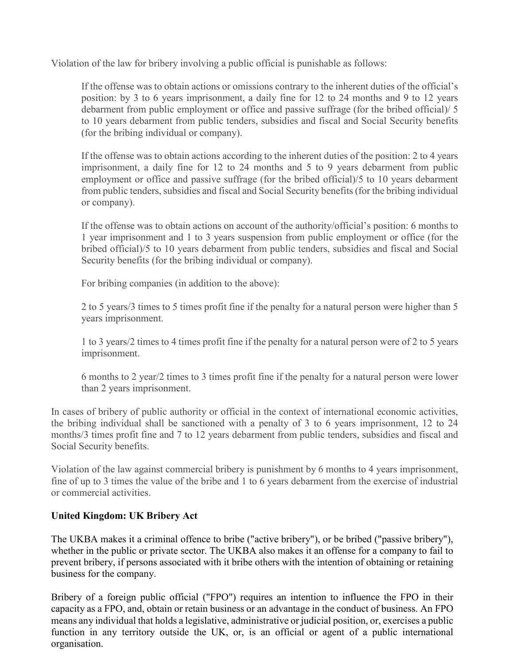Violation of the law for bribery involving a public official is punishable as follows:

If the offense was to obtain actions or omissions contrary to the inherent duties of the official's position: by 3 to 6 years imprisonment, a daily fine for 12 to 24 months and 9 to 12 years debarment from public employment or office and passive suffrage (for the bribed official)/ 5 to 10 years debarment from public tenders, subsidies and fiscal and Social Security benefits (for the bribing individual or company).

If the offense was to obtain actions according to the inherent duties of the position: 2 to 4 years imprisonment, a daily fine for 12 to 24 months and 5 to 9 years debarment from public employment or office and passive suffrage (for the bribed official)/5 to 10 years debarment from public tenders, subsidies and fiscal and Social Security benefits (for the bribing individual or company).

If the offense was to obtain actions on account of the authority/official's position: 6 months to 1 year imprisonment and 1 to 3 years suspension from public employment or office (for the bribed official)/5 to 10 years debarment from public tenders, subsidies and fiscal and Social Security benefits (for the bribing individual or company).

For bribing companies (in addition to the above):

2 to 5 years/3 times to 5 times profit fine if the penalty for a natural person were higher than 5 years imprisonment.

1 to 3 years/2 times to 4 times profit fine if the penalty for a natural person were of 2 to 5 years imprisonment.

6 months to 2 year/2 times to 3 times profit fine if the penalty for a natural person were lower than 2 years imprisonment.

In cases of bribery of public authority or official in the context of international economic activities, the bribing individual shall be sanctioned with a penalty of 3 to 6 years imprisonment, 12 to 24 months/3 times profit fine and 7 to 12 years debarment from public tenders, subsidies and fiscal and Social Security benefits.

Violation of the law against commercial bribery is punishment by 6 months to 4 years imprisonment, fine of up to 3 times the value of the bribe and 1 to 6 years debarment from the exercise of industrial or commercial activities.

# **United Kingdom: UK Bribery Act**

The UKBA makes it a criminal offence to bribe ("active bribery"), or be bribed ("passive bribery"), whether in the public or private sector. The UKBA also makes it an offense for a company to fail to prevent bribery, if persons associated with it bribe others with the intention of obtaining or retaining business for the company.

Bribery of a foreign public official ("FPO") requires an intention to influence the FPO in their capacity as a FPO, and, obtain or retain business or an advantage in the conduct of business. An FPO means any individual that holds a legislative, administrative or judicial position, or, exercises a public function in any territory outside the UK, or, is an official or agent of a public international organisation.